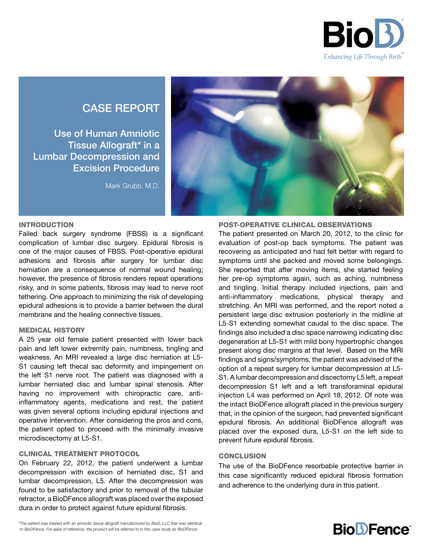

# CASE REPORT

Use of Human Amniotic Tissue Allograft\* in a Lumbar Decompression and Excision Procedure

Mark Grubb, M.D.



POST-OPERATIVE CLINICAL OBSERVATIONS

#### INTRODUCTION

Failed back surgery syndrome (FBSS) is a significant complication of lumbar disc surgery. Epidural fibrosis is one of the major causes of FBSS. Post-operative epidural adhesions and fibrosis after surgery for lumbar disc herniation are a consequence of normal wound healing; however, the presence of fibrosis renders repeat operations risky, and in some patients, fibrosis may lead to nerve root tethering. One approach to minimizing the risk of developing epidural adhesions is to provide a barrier between the dural membrane and the healing connective tissues.

## MEDICAL HISTORY

A 25 year old female patient presented with lower back pain and left lower extremity pain, numbness, tingling and weakness. An MRI revealed a large disc herniation at L5- S1 causing left thecal sac deformity and impingement on the left S1 nerve root. The patient was diagnosed with a lumbar herniated disc and lumbar spinal stenosis. After having no improvement with chiropractic care, antiinflammatory agents, medications and rest, the patient was given several options including epidural injections and operative intervention. After considering the pros and cons, the patient opted to proceed with the minimally invasive microdiscectomy at L5-S1.

# CLINICAL TREATMENT PROTOCOL

On February 22, 2012, the patient underwent a lumbar decompression with excision of herniated disc, S1 and lumbar decompression, L5. After the decompression was found to be satisfactory and prior to removal of the tubular retractor, a BioDFence allograft was placed over the exposed dura in order to protect against future epidural fibrosis.

The patient presented on March 20, 2012, to the clinic for evaluation of post-op back symptoms. The patient was recovering as anticipated and had felt better with regard to symptoms until she packed and moved some belongings. She reported that after moving items, she started feeling her pre-op symptoms again, such as aching, numbness and tingling. Initial therapy included injections, pain and anti-inflammatory medications, physical therapy and stretching. An MRI was performed, and the report noted a persistent large disc extrusion posteriorly in the midline at L5-S1 extending somewhat caudal to the disc space. The findings also included a disc space narrowing indicating disc degeneration at L5-S1 with mild bony hypertrophic changes present along disc margins at that level. Based on the MRI findings and signs/symptoms, the patient was advised of the option of a repeat surgery for lumbar decompression at L5- S1. A lumbar decompression and discectomy L5 left, a repeat decompression S1 left and a left transforaminal epidural injection L4 was performed on April 18, 2012. Of note was the intact BioDFence allograft placed in the previous surgery that, in the opinion of the surgeon, had prevented significant epidural fibrosis. An additional BioDFence allograft was placed over the exposed dura, L5-S1 on the left side to prevent future epidural fibrosis.

### **CONCLUSION**

The use of the BioDFence resorbable protective barrier in this case significantly reduced epidural fibrosis formation and adherence to the underlying dura in this patient.